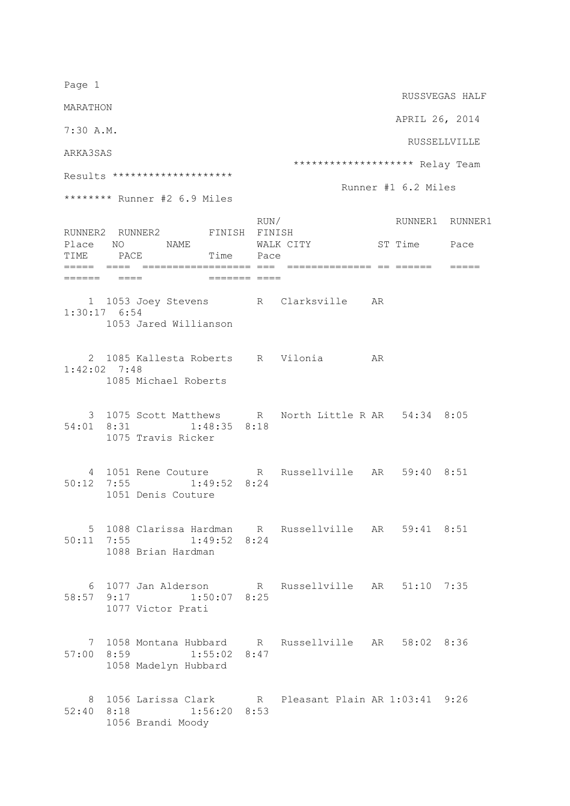Page 1 RUSSVEGAS HALF MARATHON APRIL 26, 2014 7:30 A.M. RUSSELLVILLE ARKA3SAS \*\*\*\*\*\*\*\*\*\*\*\*\*\*\*\*\*\*\*\* Relay Team Results \*\*\*\*\*\*\*\*\*\*\*\*\*\*\*\*\*\*\*\* Runner #1 6.2 Miles \*\*\*\*\*\*\*\* Runner #2 6.9 Miles RUN/ RUNNER1 RUNNER1 RUNNER2 RUNNER2 FINISH FINISH<br>Place NO NAME WALK CI Place NO NAME WALK CITY ST Time Pace TIME PACE Time Pace ===== ==== ================== === ============== == ====== ===== ====== ==== ======= ==== 1 1053 Joey Stevens R Clarksville AR 1:30:17 6:54 1053 Jared Willianson 2 1085 Kallesta Roberts R Vilonia AR 1:42:02 7:48 1085 Michael Roberts 3 1075 Scott Matthews R North Little R AR 54:34 8:05 54:01 8:31 1:48:35 8:18 1075 Travis Ricker 4 1051 Rene Couture R Russellville AR 59:40 8:51 50:12 7:55 1:49:52 8:24 1051 Denis Couture 5 1088 Clarissa Hardman R Russellville AR 59:41 8:51 50:11 7:55 1:49:52 8:24 1088 Brian Hardman 6 1077 Jan Alderson R Russellville AR 51:10 7:35 58:57 9:17 1:50:07 8:25 1077 Victor Prati 7 1058 Montana Hubbard R Russellville AR 58:02 8:36 57:00 8:59 1:55:02 8:47 1058 Madelyn Hubbard 8 1056 Larissa Clark R Pleasant Plain AR 1:03:41 9:26 52:40 8:18 1:56:20 8:53 1056 Brandi Moody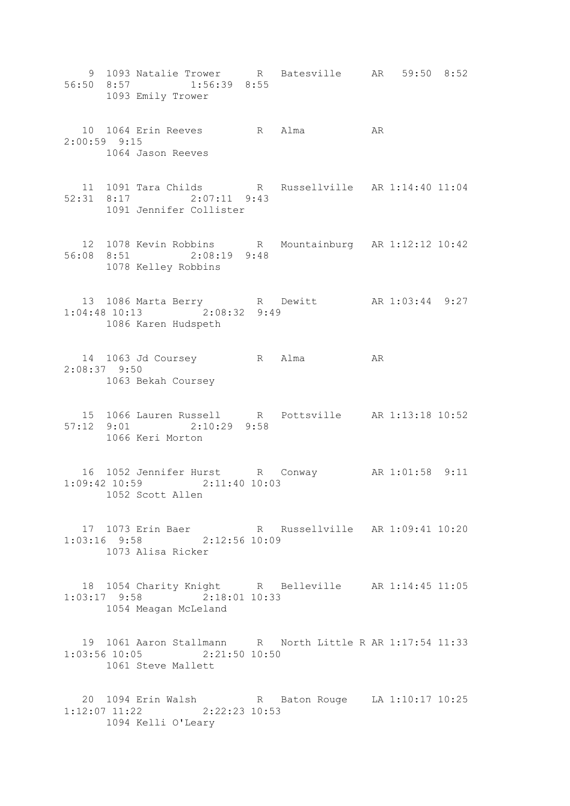9 1093 Natalie Trower R Batesville AR 59:50 8:52 56:50 8:57 1:56:39 8:55 1093 Emily Trower 10 1064 Erin Reeves R Alma AR 2:00:59 9:15 1064 Jason Reeves 11 1091 Tara Childs R Russellville AR 1:14:40 11:04 52:31 8:17 2:07:11 9:43 1091 Jennifer Collister 12 1078 Kevin Robbins R Mountainburg AR 1:12:12 10:42 56:08 8:51 2:08:19 9:48 1078 Kelley Robbins 13 1086 Marta Berry R Dewitt AR 1:03:44 9:27 1:04:48 10:13 2:08:32 9:49 1086 Karen Hudspeth 14 1063 Jd Coursey R Alma AR 2:08:37 9:50 1063 Bekah Coursey 15 1066 Lauren Russell R Pottsville AR 1:13:18 10:52 57:12 9:01 2:10:29 9:58 1066 Keri Morton 16 1052 Jennifer Hurst R Conway AR 1:01:58 9:11 1:09:42 10:59 2:11:40 10:03 1052 Scott Allen 17 1073 Erin Baer R Russellville AR 1:09:41 10:20 1:03:16 9:58 2:12:56 10:09 1073 Alisa Ricker 18 1054 Charity Knight R Belleville AR 1:14:45 11:05 1:03:17 9:58 2:18:01 10:33 1054 Meagan McLeland 19 1061 Aaron Stallmann R North Little R AR 1:17:54 11:33 1:03:56 10:05 2:21:50 10:50 1061 Steve Mallett 20 1094 Erin Walsh R Baton Rouge LA 1:10:17 10:25 1:12:07 11:22 2:22:23 10:53 1094 Kelli O'Leary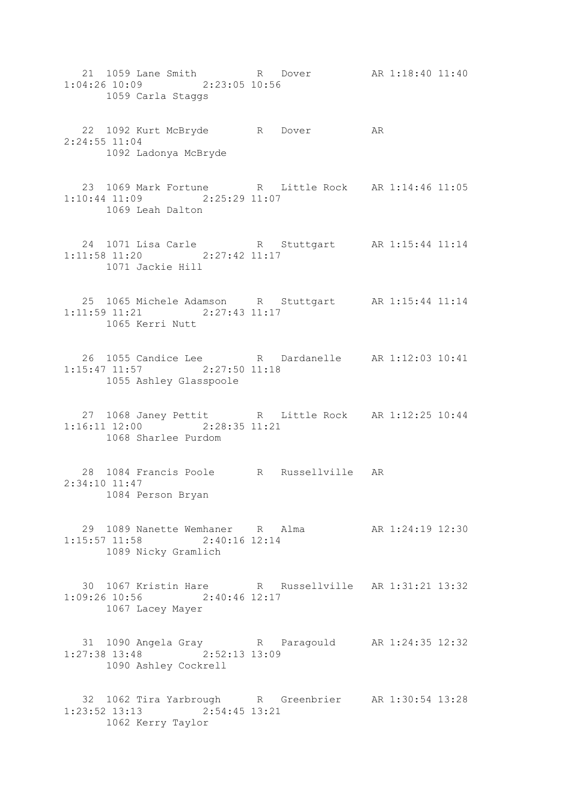- 21 1059 Lane Smith R Dover AR 1:18:40 11:40 1:04:26 10:09 2:23:05 10:56 1059 Carla Staggs
- 22 1092 Kurt McBryde R Dover AR 2:24:55 11:04 1092 Ladonya McBryde
- 23 1069 Mark Fortune R Little Rock AR 1:14:46 11:05 1:10:44 11:09 2:25:29 11:07 1069 Leah Dalton
- 24 1071 Lisa Carle R Stuttgart AR 1:15:44 11:14 1:11:58 11:20 2:27:42 11:17 1071 Jackie Hill
- 25 1065 Michele Adamson R Stuttgart AR 1:15:44 11:14 1:11:59 11:21 2:27:43 11:17 1065 Kerri Nutt
- 26 1055 Candice Lee R Dardanelle AR 1:12:03 10:41 1:15:47 11:57 2:27:50 11:18 1055 Ashley Glasspoole
- 27 1068 Janey Pettit R Little Rock AR 1:12:25 10:44 1:16:11 12:00 2:28:35 11:21 1068 Sharlee Purdom
- 28 1084 Francis Poole R Russellville AR 2:34:10 11:47 1084 Person Bryan
- 29 1089 Nanette Wemhaner R Alma AR 1:24:19 12:30 1:15:57 11:58 2:40:16 12:14 1089 Nicky Gramlich
- 30 1067 Kristin Hare R Russellville AR 1:31:21 13:32 1:09:26 10:56 2:40:46 12:17 1067 Lacey Mayer
- 31 1090 Angela Gray R Paragould AR 1:24:35 12:32 1:27:38 13:48 2:52:13 13:09 1090 Ashley Cockrell
- 32 1062 Tira Yarbrough R Greenbrier AR 1:30:54 13:28 1:23:52 13:13 2:54:45 13:21 1062 Kerry Taylor